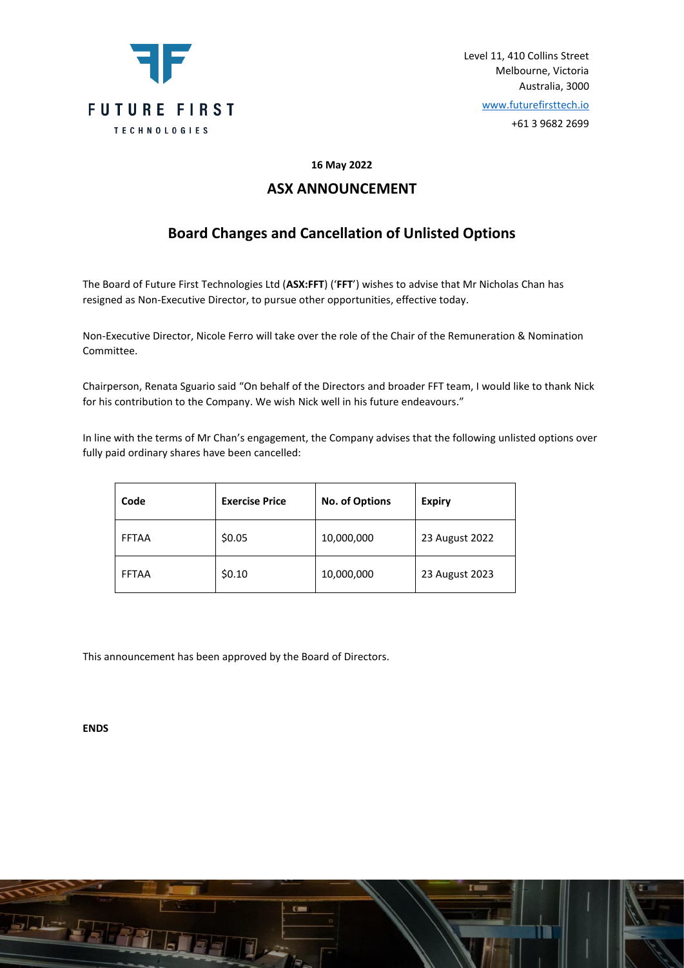

Level 11, 410 Collins Street Melbourne, Victoria Australia, 3000

[www.futurefirsttech.io](http://www.futurefirsttech.io/)

+61 3 9682 2699

### **16 May 2022**

### **ASX ANNOUNCEMENT**

## **Board Changes and Cancellation of Unlisted Options**

The Board of Future First Technologies Ltd (**ASX:FFT**) ('**FFT**') wishes to advise that Mr Nicholas Chan has resigned as Non-Executive Director, to pursue other opportunities, effective today.

Non-Executive Director, Nicole Ferro will take over the role of the Chair of the Remuneration & Nomination Committee.

Chairperson, Renata Sguario said "On behalf of the Directors and broader FFT team, I would like to thank Nick for his contribution to the Company. We wish Nick well in his future endeavours."

In line with the terms of Mr Chan's engagement, the Company advises that the following unlisted options over fully paid ordinary shares have been cancelled:

| Code         | <b>Exercise Price</b> | <b>No. of Options</b> | <b>Expiry</b>  |
|--------------|-----------------------|-----------------------|----------------|
| <b>FFTAA</b> | \$0.05                | 10,000,000            | 23 August 2022 |
| <b>FFTAA</b> | \$0.10                | 10,000,000            | 23 August 2023 |

This announcement has been approved by the Board of Directors.

**ENDS**

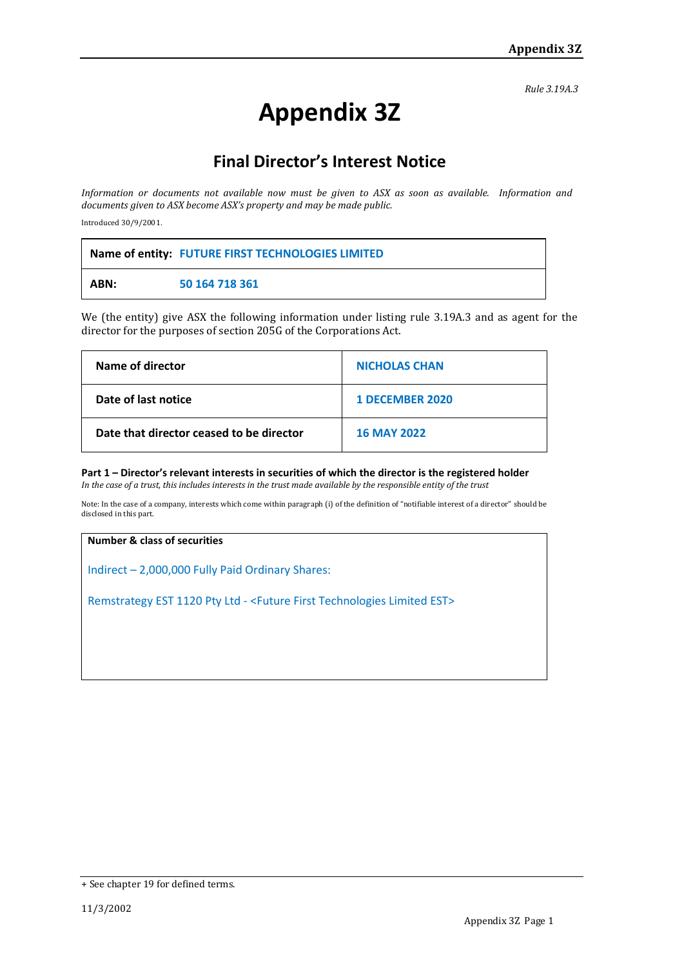*Rule 3.19A.3*

# **Appendix 3Z**

# **Final Director's Interest Notice**

*Information or documents not available now must be given to ASX as soon as available. Information and documents given to ASX become ASX's property and may be made public.*

Introduced 30/9/2001.

|      | Name of entity: FUTURE FIRST TECHNOLOGIES LIMITED |
|------|---------------------------------------------------|
| ABN: | 50 164 718 361                                    |

We (the entity) give ASX the following information under listing rule 3.19A.3 and as agent for the director for the purposes of section 205G of the Corporations Act.

| Name of director                         | <b>NICHOLAS CHAN</b>   |
|------------------------------------------|------------------------|
| Date of last notice                      | <b>1 DECEMBER 2020</b> |
| Date that director ceased to be director | <b>16 MAY 2022</b>     |

**Part 1 – Director's relevant interests in securities of which the director is the registered holder** *In the case of a trust, this includes interests in the trust made available by the responsible entity of the trust*

Note: In the case of a company, interests which come within paragraph (i) of the definition of "notifiable interest of a director" should be disclosed in this part.

### **Number & class of securities**

Indirect – 2,000,000 Fully Paid Ordinary Shares:

Remstrategy EST 1120 Pty Ltd - <Future First Technologies Limited EST>

<sup>+</sup> See chapter 19 for defined terms.